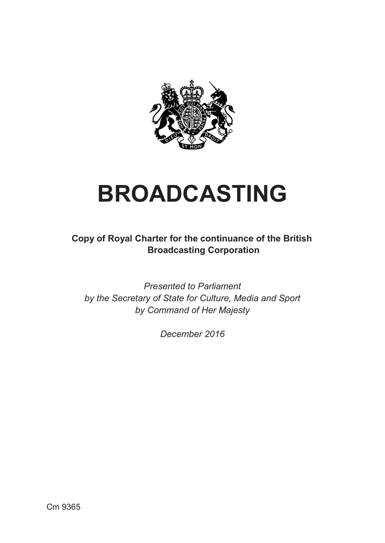

# **BROADCASTING**

**Copy of Royal Charter for the continuance of the British Broadcasting Corporation** 

*Presented to Parliament by the Secretary of State for Culture, Media and Sport by Command of Her Majesty*

*December 2016*

Cm 9365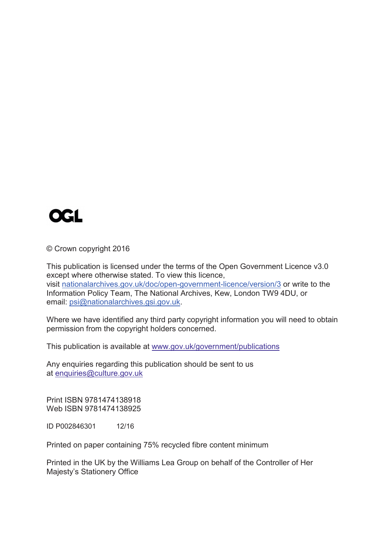

© Crown copyright 2016

 Information Policy Team, The National Archives, Kew, London TW9 4DU, or This publication is licensed under the terms of the Open Government Licence v3.0 except where otherwise stated. To view this licence, visit [nationalarchives.gov.uk/doc/open-government-licence/version/3](http://www.nationalarchives.gov.uk/doc/open-government-licence/version/3) or write to the email: [psi@nationalarchives.gsi.gov.uk.](mailto:psi@nationalarchives.gsi.gov.uk)

Where we have identified any third party copyright information you will need to obtain permission from the copyright holders concerned.

This publication is available at www.gov.uk/government/publications

Any enquiries regarding this publication should be sent to us at [enquiries@culture.gov.uk](mailto:enquiries@culture.gov.uk) 

Print ISBN 9781474138918 Web ISBN 9781474138925

ID P002846301 12/16

Printed on paper containing 75% recycled fibre content minimum

Printed in the UK by the Williams Lea Group on behalf of the Controller of Her Majesty's Stationery Office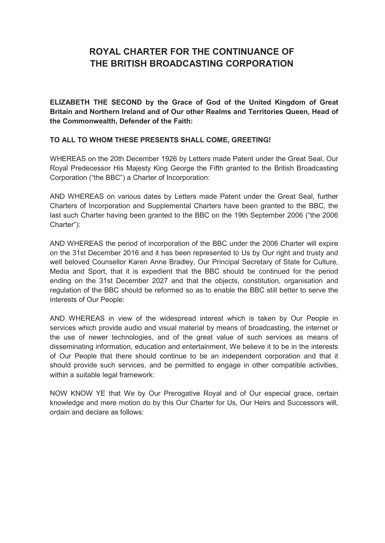## **ROYAL CHARTER FOR THE CONTINUANCE OF THE BRITISH BROADCASTING CORPORATION**

**ELIZABETH THE SECOND by the Grace of God of the United Kingdom of Great Britain and Northern Ireland and of Our other Realms and Territories Queen, Head of the Commonwealth, Defender of the Faith:** 

#### **TO ALL TO WHOM THESE PRESENTS SHALL COME, GREETING!**

 WHEREAS on the 20th December 1926 by Letters made Patent under the Great Seal, Our Royal Predecessor His Majesty King George the Fifth granted to the British Broadcasting Corporation ("the BBC") a Charter of Incorporation:

 AND WHEREAS on various dates by Letters made Patent under the Great Seal, further Charters of Incorporation and Supplemental Charters have been granted to the BBC, the last such Charter having been granted to the BBC on the 19th September 2006 ("the 2006 Charter"):

AND WHEREAS the period of incorporation of the BBC under the 2006 Charter will expire on the 31st December 2016 and it has been represented to Us by Our right and trusty and well beloved Counsellor Karen Anne Bradley, Our Principal Secretary of State for Culture, Media and Sport, that it is expedient that the BBC should be continued for the period ending on the 31st December 2027 and that the objects, constitution, organisation and regulation of the BBC should be reformed so as to enable the BBC still better to serve the interests of Our People:

 AND WHEREAS in view of the widespread interest which is taken by Our People in services which provide audio and visual material by means of broadcasting, the internet or the use of newer technologies, and of the great value of such services as means of disseminating information, education and entertainment, We believe it to be in the interests within a suitable legal framework: of Our People that there should continue to be an independent corporation and that it should provide such services, and be permitted to engage in other compatible activities,

 NOW KNOW YE that We by Our Prerogative Royal and of Our especial grace, certain knowledge and mere motion do by this Our Charter for Us, Our Heirs and Successors will, ordain and declare as follows: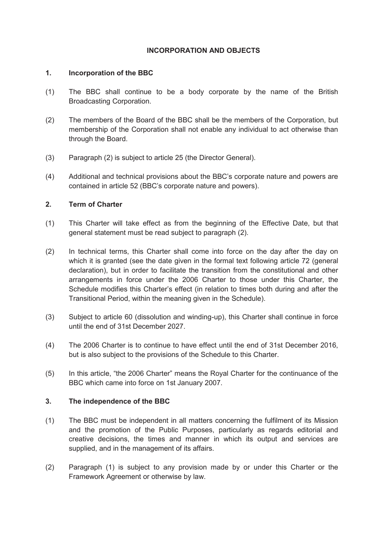#### **INCORPORATION AND OBJECTS**

#### **1. Incorporation of the BBC**

- (1) The BBC shall continue to be a body corporate by the name of the British Broadcasting Corporation.
- (2) The members of the Board of the BBC shall be the members of the Corporation, but membership of the Corporation shall not enable any individual to act otherwise than through the Board.
- (3) Paragraph (2) is subject to article 25 (the Director General).
- (4) Additional and technical provisions about the BBC's corporate nature and powers are contained in article 52 (BBC's corporate nature and powers).

#### **2. Term of Charter**

- (1) This Charter will take effect as from the beginning of the Effective Date, but that general statement must be read subject to paragraph (2).
- (2) In technical terms, this Charter shall come into force on the day after the day on which it is granted (see the date given in the formal text following article 72 (general declaration), but in order to facilitate the transition from the constitutional and other arrangements in force under the 2006 Charter to those under this Charter, the Schedule modifies this Charter's effect (in relation to times both during and after the Transitional Period, within the meaning given in the Schedule).
- (3) Subject to article 60 (dissolution and winding-up), this Charter shall continue in force until the end of 31st December 2027.
- (4) The 2006 Charter is to continue to have effect until the end of 31st December 2016, but is also subject to the provisions of the Schedule to this Charter.
- (5) In this article, "the 2006 Charter" means the Royal Charter for the continuance of the BBC which came into force on 1st January 2007.

#### **3. The independence of the BBC**

- (1) The BBC must be independent in all matters concerning the fulfilment of its Mission and the promotion of the Public Purposes, particularly as regards editorial and creative decisions, the times and manner in which its output and services are supplied, and in the management of its affairs.
- (2) Paragraph (1) is subject to any provision made by or under this Charter or the Framework Agreement or otherwise by law.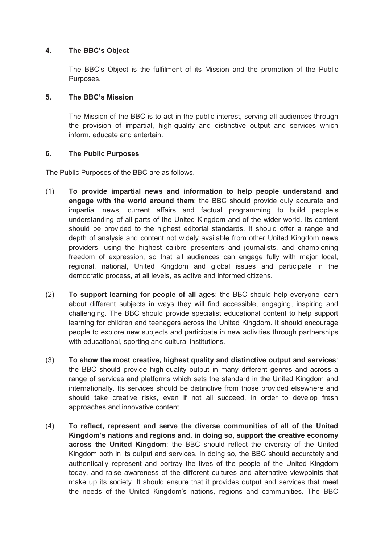#### **4. The BBC's Object**

The BBC's Object is the fulfilment of its Mission and the promotion of the Public Purposes.

#### **5. The BBC's Mission**

The Mission of the BBC is to act in the public interest, serving all audiences through the provision of impartial, high-quality and distinctive output and services which inform, educate and entertain.

#### **6. The Public Purposes**

The Public Purposes of the BBC are as follows.

- (1) **To provide impartial news and information to help people understand and engage with the world around them**: the BBC should provide duly accurate and impartial news, current affairs and factual programming to build people's understanding of all parts of the United Kingdom and of the wider world. Its content should be provided to the highest editorial standards. It should offer a range and depth of analysis and content not widely available from other United Kingdom news providers, using the highest calibre presenters and journalists, and championing freedom of expression, so that all audiences can engage fully with major local, regional, national, United Kingdom and global issues and participate in the democratic process, at all levels, as active and informed citizens.
- (2) **To support learning for people of all ages**: the BBC should help everyone learn about different subjects in ways they will find accessible, engaging, inspiring and challenging. The BBC should provide specialist educational content to help support learning for children and teenagers across the United Kingdom. It should encourage people to explore new subjects and participate in new activities through partnerships with educational, sporting and cultural institutions.
- (3) **To show the most creative, highest quality and distinctive output and services**: the BBC should provide high-quality output in many different genres and across a range of services and platforms which sets the standard in the United Kingdom and internationally. Its services should be distinctive from those provided elsewhere and should take creative risks, even if not all succeed, in order to develop fresh approaches and innovative content.
- (4) **To reflect, represent and serve the diverse communities of all of the United Kingdom's nations and regions and, in doing so, support the creative economy across the United Kingdom**: the BBC should reflect the diversity of the United Kingdom both in its output and services. In doing so, the BBC should accurately and authentically represent and portray the lives of the people of the United Kingdom today, and raise awareness of the different cultures and alternative viewpoints that make up its society. It should ensure that it provides output and services that meet the needs of the United Kingdom's nations, regions and communities. The BBC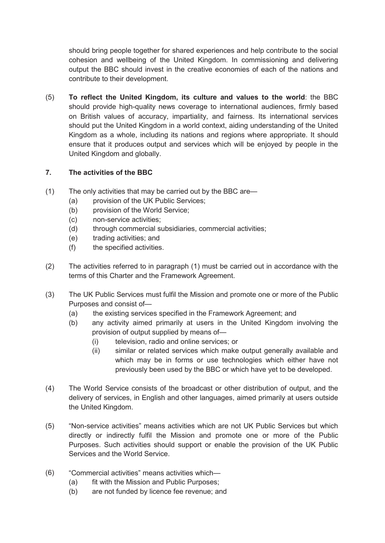should bring people together for shared experiences and help contribute to the social output the BBC should invest in the creative economies of each of the nations and cohesion and wellbeing of the United Kingdom. In commissioning and delivering contribute to their development.

 should put the United Kingdom in a world context, aiding understanding of the United Kingdom as a whole, including its nations and regions where appropriate. It should (5) **To reflect the United Kingdom, its culture and values to the world**: the BBC should provide high-quality news coverage to international audiences, firmly based on British values of accuracy, impartiality, and fairness. Its international services ensure that it produces output and services which will be enjoyed by people in the United Kingdom and globally.

#### **7. The activities of the BBC**

- (1) The only activities that may be carried out by the BBC are—
	- (a) provision of the UK Public Services;
	- (b) provision of the World Service;
	- (c) non-service activities;
	- (d) through commercial subsidiaries, commercial activities;
	- $(e)$ trading activities; and
	- (f) the specified activities.
- (2) The activities referred to in paragraph (1) must be carried out in accordance with the terms of this Charter and the Framework Agreement.
- (3) The UK Public Services must fulfil the Mission and promote one or more of the Public Purposes and consist of—
	- (a) the existing services specified in the Framework Agreement; and
	- (b) any activity aimed primarily at users in the United Kingdom involving the provision of output supplied by means of—
		- (i) television, radio and online services; or
		- (ii) similar or related services which make output generally available and which may be in forms or use technologies which either have not previously been used by the BBC or which have yet to be developed.
- (4) The World Service consists of the broadcast or other distribution of output, and the delivery of services, in English and other languages, aimed primarily at users outside the United Kingdom.
- directly or indirectly fulfil the Mission and promote one or more of the Public Services and the World Service. (5) "Non-service activities" means activities which are not UK Public Services but which Purposes. Such activities should support or enable the provision of the UK Public
- (6) "Commercial activities" means activities which—
	- (a) fit with the Mission and Public Purposes;
	- (b) are not funded by licence fee revenue; and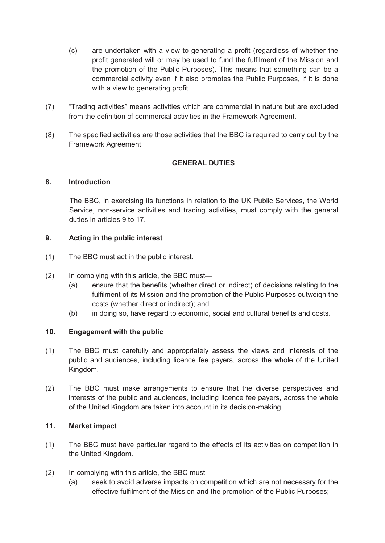- (c) are undertaken with a view to generating a profit (regardless of whether the profit generated will or may be used to fund the fulfilment of the Mission and the promotion of the Public Purposes). This means that something can be a with a view to generating profit. commercial activity even if it also promotes the Public Purposes, if it is done
- (7) "Trading activities" means activities which are commercial in nature but are excluded from the definition of commercial activities in the Framework Agreement.
- (8) The specified activities are those activities that the BBC is required to carry out by the Framework Agreement.

#### **GENERAL DUTIES**

#### **8. Introduction**

 The BBC, in exercising its functions in relation to the UK Public Services, the World Service, non-service activities and trading activities, must comply with the general duties in articles 9 to 17.

#### **9. Acting in the public interest**

- (1) The BBC must act in the public interest.
- (2) In complying with this article, the BBC must—
	- (a) ensure that the benefits (whether direct or indirect) of decisions relating to the fulfilment of its Mission and the promotion of the Public Purposes outweigh the costs (whether direct or indirect); and
	- (b) in doing so, have regard to economic, social and cultural benefits and costs.

#### **10. Engagement with the public**

- (1) The BBC must carefully and appropriately assess the views and interests of the public and audiences, including licence fee payers, across the whole of the United Kingdom.
- (2) The BBC must make arrangements to ensure that the diverse perspectives and interests of the public and audiences, including licence fee payers, across the whole of the United Kingdom are taken into account in its decision-making.

#### **11. Market impact**

- (1) The BBC must have particular regard to the effects of its activities on competition in the United Kingdom.
- (2) In complying with this article, the BBC must-
	- (a) seek to avoid adverse impacts on competition which are not necessary for the effective fulfilment of the Mission and the promotion of the Public Purposes;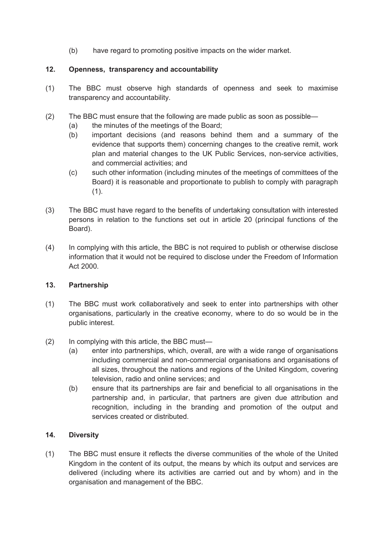(b) have regard to promoting positive impacts on the wider market.

### **12. Openness, transparency and accountability**

- (1) The BBC must observe high standards of openness and seek to maximise transparency and accountability.
- (2) The BBC must ensure that the following are made public as soon as possible—
	- (a) the minutes of the meetings of the Board;
	- evidence that supports them) concerning changes to the creative remit, work (b) important decisions (and reasons behind them and a summary of the plan and material changes to the UK Public Services, non-service activities, and commercial activities; and
	- $(c)$ such other information (including minutes of the meetings of committees of the Board) it is reasonable and proportionate to publish to comply with paragraph  $(1).$
- (3) The BBC must have regard to the benefits of undertaking consultation with interested persons in relation to the functions set out in article 20 (principal functions of the Board).
- (4) In complying with this article, the BBC is not required to publish or otherwise disclose information that it would not be required to disclose under the Freedom of Information Act 2000.

#### **13. Partnership**

- (1) The BBC must work collaboratively and seek to enter into partnerships with other organisations, particularly in the creative economy, where to do so would be in the public interest.
- (2) In complying with this article, the BBC must—
	- including commercial and non-commercial organisations and organisations of (a) enter into partnerships, which, overall, are with a wide range of organisations all sizes, throughout the nations and regions of the United Kingdom, covering television, radio and online services; and
	- (b) ensure that its partnerships are fair and beneficial to all organisations in the partnership and, in particular, that partners are given due attribution and recognition, including in the branding and promotion of the output and services created or distributed.

#### **14. Diversity**

 Kingdom in the content of its output, the means by which its output and services are (1) The BBC must ensure it reflects the diverse communities of the whole of the United delivered (including where its activities are carried out and by whom) and in the organisation and management of the BBC.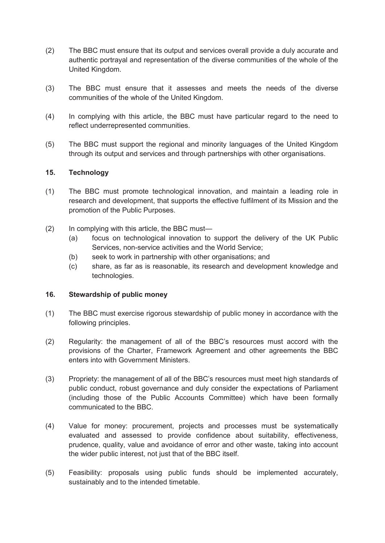- authentic portrayal and representation of the diverse communities of the whole of the United Kingdom. (2) The BBC must ensure that its output and services overall provide a duly accurate and
- (3) The BBC must ensure that it assesses and meets the needs of the diverse communities of the whole of the United Kingdom.
- (4) In complying with this article, the BBC must have particular regard to the need to reflect underrepresented communities.
- (5) The BBC must support the regional and minority languages of the United Kingdom through its output and services and through partnerships with other organisations.

#### **15. Technology**

- (1) The BBC must promote technological innovation, and maintain a leading role in research and development, that supports the effective fulfilment of its Mission and the promotion of the Public Purposes.
- (2) In complying with this article, the BBC must—
	- (a) focus on technological innovation to support the delivery of the UK Public Services, non-service activities and the World Service;
	- (b) seek to work in partnership with other organisations; and
	- (c) share, as far as is reasonable, its research and development knowledge and technologies.

#### **16. Stewardship of public money**

- (1) The BBC must exercise rigorous stewardship of public money in accordance with the following principles.
- (2) Regularity: the management of all of the BBC's resources must accord with the provisions of the Charter, Framework Agreement and other agreements the BBC enters into with Government Ministers.
- (3) Propriety: the management of all of the BBC's resources must meet high standards of (including those of the Public Accounts Committee) which have been formally public conduct, robust governance and duly consider the expectations of Parliament communicated to the BBC.
- (4) Value for money: procurement, projects and processes must be systematically evaluated and assessed to provide confidence about suitability, effectiveness, the wider public interest, not just that of the BBC itself. prudence, quality, value and avoidance of error and other waste, taking into account
- (5) Feasibility: proposals using public funds should be implemented accurately, sustainably and to the intended timetable.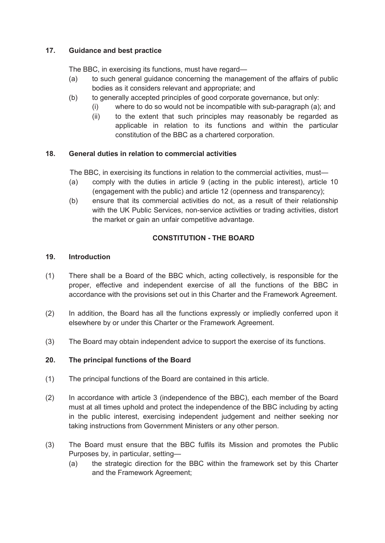#### **17. Guidance and best practice**

The BBC, in exercising its functions, must have regard—

- (a) to such general guidance concerning the management of the affairs of public bodies as it considers relevant and appropriate; and
- (b) to generally accepted principles of good corporate governance, but only:
	- (i) where to do so would not be incompatible with sub-paragraph (a); and
		- (ii) to the extent that such principles may reasonably be regarded as applicable in relation to its functions and within the particular constitution of the BBC as a chartered corporation.

#### **18. General duties in relation to commercial activities**

The BBC, in exercising its functions in relation to the commercial activities, must—

- (a) comply with the duties in article 9 (acting in the public interest), article 10 (engagement with the public) and article 12 (openness and transparency);
- (b) ensure that its commercial activities do not, as a result of their relationship with the UK Public Services, non-service activities or trading activities, distort the market or gain an unfair competitive advantage.

#### **CONSTITUTION - THE BOARD**

#### **19. Introduction**

- (1) There shall be a Board of the BBC which, acting collectively, is responsible for the proper, effective and independent exercise of all the functions of the BBC in accordance with the provisions set out in this Charter and the Framework Agreement.
- (2) In addition, the Board has all the functions expressly or impliedly conferred upon it elsewhere by or under this Charter or the Framework Agreement.
- (3) The Board may obtain independent advice to support the exercise of its functions.

#### **20. The principal functions of the Board**

- (1) The principal functions of the Board are contained in this article.
- must at all times uphold and protect the independence of the BBC including by acting taking instructions from Government Ministers or any other person. (2) In accordance with article 3 (independence of the BBC), each member of the Board in the public interest, exercising independent judgement and neither seeking nor
- (3) The Board must ensure that the BBC fulfils its Mission and promotes the Public Purposes by, in particular, setting—
	- (a) the strategic direction for the BBC within the framework set by this Charter and the Framework Agreement;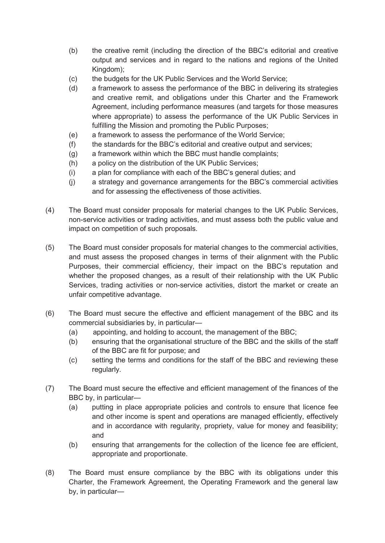- output and services and in regard to the nations and regions of the United (b) the creative remit (including the direction of the BBC's editorial and creative Kingdom);
- (c) the budgets for the UK Public Services and the World Service;
- Agreement, including performance measures (and targets for those measures (d) a framework to assess the performance of the BBC in delivering its strategies and creative remit, and obligations under this Charter and the Framework where appropriate) to assess the performance of the UK Public Services in fulfilling the Mission and promoting the Public Purposes;
- (e) a framework to assess the performance of the World Service;
- (f) the standards for the BBC's editorial and creative output and services;
- (g) a framework within which the BBC must handle complaints;
- (h) a policy on the distribution of the UK Public Services;
- (i) a plan for compliance with each of the BBC's general duties; and
- (i) a strategy and governance arrangements for the BBC's commercial activities and for assessing the effectiveness of those activities.
- (4) The Board must consider proposals for material changes to the UK Public Services, non-service activities or trading activities, and must assess both the public value and impact on competition of such proposals.
- (5) The Board must consider proposals for material changes to the commercial activities, Purposes, their commercial efficiency, their impact on the BBC's reputation and and must assess the proposed changes in terms of their alignment with the Public whether the proposed changes, as a result of their relationship with the UK Public Services, trading activities or non-service activities, distort the market or create an unfair competitive advantage.
- (6) The Board must secure the effective and efficient management of the BBC and its commercial subsidiaries by, in particular—
	- (a) appointing, and holding to account, the management of the BBC;
	- (b) ensuring that the organisational structure of the BBC and the skills of the staff of the BBC are fit for purpose; and
	- (c) setting the terms and conditions for the staff of the BBC and reviewing these regularly.
- (7) The Board must secure the effective and efficient management of the finances of the BBC by, in particular—
	- (a) putting in place appropriate policies and controls to ensure that licence fee and other income is spent and operations are managed efficiently, effectively and in accordance with regularity, propriety, value for money and feasibility; and
	- (b) ensuring that arrangements for the collection of the licence fee are efficient, appropriate and proportionate.
- (8) The Board must ensure compliance by the BBC with its obligations under this Charter, the Framework Agreement, the Operating Framework and the general law by, in particular—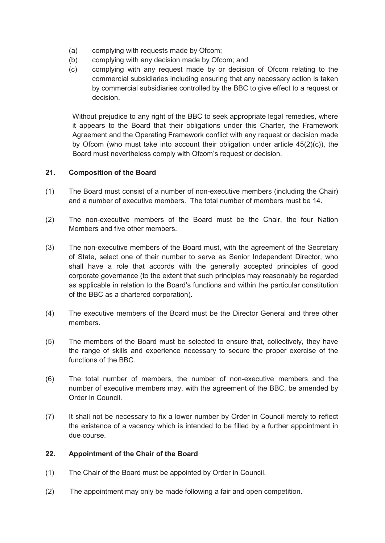- (a) complying with requests made by Ofcom;
- (b) complying with any decision made by Ofcom; and
- (c) complying with any request made by or decision of Ofcom relating to the commercial subsidiaries including ensuring that any necessary action is taken by commercial subsidiaries controlled by the BBC to give effect to a request or decision.

 Without prejudice to any right of the BBC to seek appropriate legal remedies, where it appears to the Board that their obligations under this Charter, the Framework Agreement and the Operating Framework conflict with any request or decision made by Ofcom (who must take into account their obligation under article 45(2)(c)), the Board must nevertheless comply with Ofcom's request or decision.

#### **21. Composition of the Board**

- and a number of executive members. The total number of members must be 14. (1) The Board must consist of a number of non-executive members (including the Chair)
- (2) The non-executive members of the Board must be the Chair, the four Nation Members and five other members.
- shall have a role that accords with the generally accepted principles of good corporate governance (to the extent that such principles may reasonably be regarded as applicable in relation to the Board's functions and within the particular constitution (3) The non-executive members of the Board must, with the agreement of the Secretary of State, select one of their number to serve as Senior Independent Director, who of the BBC as a chartered corporation).
- (4) The executive members of the Board must be the Director General and three other members.
- (5) The members of the Board must be selected to ensure that, collectively, they have the range of skills and experience necessary to secure the proper exercise of the functions of the BBC.
- (6) The total number of members, the number of non-executive members and the number of executive members may, with the agreement of the BBC, be amended by Order in Council.
- (7) It shall not be necessary to fix a lower number by Order in Council merely to reflect the existence of a vacancy which is intended to be filled by a further appointment in due course.

#### **22. Appointment of the Chair of the Board**

- The Chair of the Board must be appointed by Order in Council.
- (1) The Chair of the Board must be appointed by Order in Council.<br>(2) The appointment may only be made following a fair and open competition.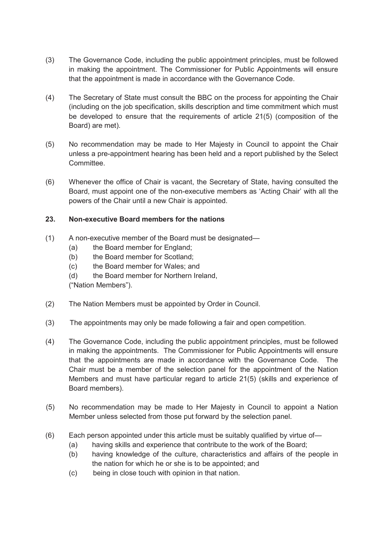- (3) The Governance Code, including the public appointment principles, must be followed in making the appointment. The Commissioner for Public Appointments will ensure that the appointment is made in accordance with the Governance Code.
- (4) The Secretary of State must consult the BBC on the process for appointing the Chair (including on the job specification, skills description and time commitment which must be developed to ensure that the requirements of article 21(5) (composition of the Board) are met).
- unless a pre-appointment hearing has been held and a report published by the Select (5) No recommendation may be made to Her Majesty in Council to appoint the Chair Committee.
- (6) Whenever the office of Chair is vacant, the Secretary of State, having consulted the Board, must appoint one of the non-executive members as 'Acting Chair' with all the powers of the Chair until a new Chair is appointed.

#### **23. Non-executive Board members for the nations**

- (1) A non-executive member of the Board must be designated—
	- $(a)$ the Board member for England;
	- (b) the Board member for Scotland;
	- (c) the Board member for Wales; and
	- (d) the Board member for Northern Ireland,

("Nation Members").

- (2) The Nation Members must be appointed by Order in Council.
- (3) The appointments may only be made following a fair and open competition.
- (4) The Governance Code, including the public appointment principles, must be followed in making the appointments. The Commissioner for Public Appointments will ensure that the appointments are made in accordance with the Governance Code. The Chair must be a member of the selection panel for the appointment of the Nation Members and must have particular regard to article 21(5) (skills and experience of Board members).
- (5) No recommendation may be made to Her Majesty in Council to appoint a Nation Member unless selected from those put forward by the selection panel.
- (6) Each person appointed under this article must be suitably qualified by virtue of—
	- $(a)$ having skills and experience that contribute to the work of the Board;
	- (b) having knowledge of the culture, characteristics and affairs of the people in the nation for which he or she is to be appointed; and
	- $(c)$ being in close touch with opinion in that nation.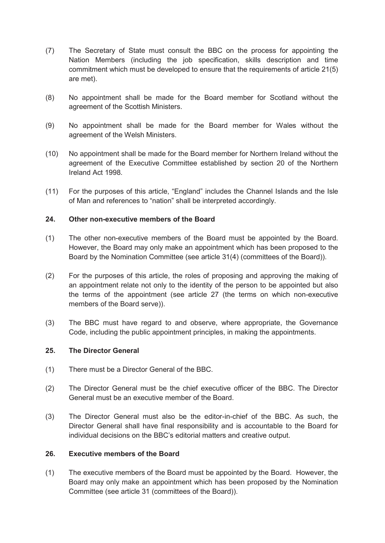- (7) The Secretary of State must consult the BBC on the process for appointing the Nation Members (including the job specification, skills description and time commitment which must be developed to ensure that the requirements of article 21(5) are met).
- (8) No appointment shall be made for the Board member for Scotland without the agreement of the Scottish Ministers.
- (9) No appointment shall be made for the Board member for Wales without the agreement of the Welsh Ministers.
- (10) No appointment shall be made for the Board member for Northern Ireland without the agreement of the Executive Committee established by section 20 of the Northern Ireland Act 1998.
- $(11)$ For the purposes of this article, "England" includes the Channel Islands and the Isle of Man and references to "nation" shall be interpreted accordingly.

#### **24. Other non-executive members of the Board**

- (1) The other non-executive members of the Board must be appointed by the Board. However, the Board may only make an appointment which has been proposed to the Board by the Nomination Committee (see article 31(4) (committees of the Board)).
- (2) For the purposes of this article, the roles of proposing and approving the making of an appointment relate not only to the identity of the person to be appointed but also the terms of the appointment (see article 27 (the terms on which non-executive members of the Board serve)).
- (3) The BBC must have regard to and observe, where appropriate, the Governance Code, including the public appointment principles, in making the appointments.

#### **25. The Director General**

- (1) There must be a Director General of the BBC.
- (2) The Director General must be the chief executive officer of the BBC. The Director General must be an executive member of the Board.
- (3) The Director General must also be the editor-in-chief of the BBC. As such, the Director General shall have final responsibility and is accountable to the Board for individual decisions on the BBC's editorial matters and creative output.

#### **26. Executive members of the Board**

(1) The executive members of the Board must be appointed by the Board. However, the Board may only make an appointment which has been proposed by the Nomination Committee (see article 31 (committees of the Board)).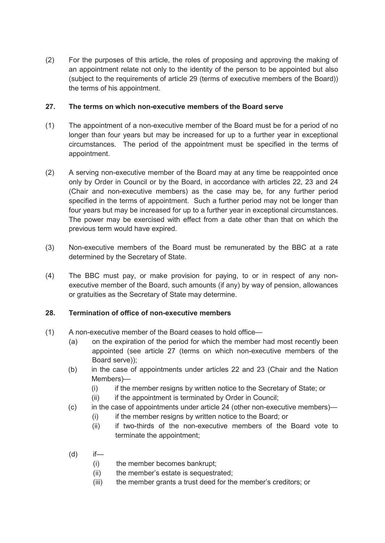(2) For the purposes of this article, the roles of proposing and approving the making of the terms of his appointment. an appointment relate not only to the identity of the person to be appointed but also (subject to the requirements of article 29 (terms of executive members of the Board))

#### **27. The terms on which non-executive members of the Board serve**

- longer than four years but may be increased for up to a further year in exceptional circumstances. The period of the appointment must be specified in the terms of (1) The appointment of a non-executive member of the Board must be for a period of no appointment.
- (Chair and non-executive members) as the case may be, for any further period four years but may be increased for up to a further year in exceptional circumstances. (2) A serving non-executive member of the Board may at any time be reappointed once only by Order in Council or by the Board, in accordance with articles 22, 23 and 24 specified in the terms of appointment. Such a further period may not be longer than The power may be exercised with effect from a date other than that on which the previous term would have expired.
- (3) Non-executive members of the Board must be remunerated by the BBC at a rate determined by the Secretary of State.
- (4) The BBC must pay, or make provision for paying, to or in respect of any non- executive member of the Board, such amounts (if any) by way of pension, allowances or gratuities as the Secretary of State may determine.

#### **28. Termination of office of non-executive members**

- (1) A non-executive member of the Board ceases to hold office—
	- $(a)$  appointed (see article 27 (terms on which non-executive members of the on the expiration of the period for which the member had most recently been Board serve));
	- $(b)$ in the case of appointments under articles 22 and 23 (Chair and the Nation Members)—
		- $(i)$ if the member resigns by written notice to the Secretary of State; or
		- (ii) if the appointment is terminated by Order in Council;
	- $(c)$ in the case of appointments under article  $24$  (other non-executive members)—
		- (i) if the member resigns by written notice to the Board; or
		- (ii) if two-thirds of the non-executive members of the Board vote to terminate the appointment;
	- $(d)$  if—
		- (i) the member becomes bankrupt;
		- (ii) the member's estate is sequestrated;
		- (iii) the member grants a trust deed for the member's creditors; or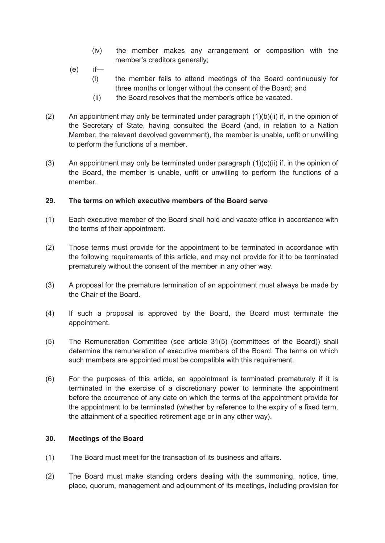- $(iv)$ the member makes any arrangement or composition with the member's creditors generally;
- $(e)$  $if$ —
	- $(i)$ the member fails to attend meetings of the Board continuously for three months or longer without the consent of the Board; and
	- (ii) the Board resolves that the member's office be vacated.
- $(2)$  to perform the functions of a member. An appointment may only be terminated under paragraph  $(1)(b)(ii)$  if, in the opinion of the Secretary of State, having consulted the Board (and, in relation to a Nation Member, the relevant devolved government), the member is unable, unfit or unwilling
- $(3)$  the Board, the member is unable, unfit or unwilling to perform the functions of a An appointment may only be terminated under paragraph  $(1)(c)(ii)$  if, in the opinion of member.

#### **29. The terms on which executive members of the Board serve**

- $(1)$  the terms of their appointment. Each executive member of the Board shall hold and vacate office in accordance with
- $(2)$  prematurely without the consent of the member in any other way. Those terms must provide for the appointment to be terminated in accordance with the following requirements of this article, and may not provide for it to be terminated
- (3) A proposal for the premature termination of an appointment must always be made by the Chair of the Board.
- $(4)$ If such a proposal is approved by the Board, the Board must terminate the appointment.
- $(5)$  determine the remuneration of executive members of the Board. The terms on which The Remuneration Committee (see article 31(5) (committees of the Board)) shall such members are appointed must be compatible with this requirement.
- $(6)$ For the purposes of this article, an appointment is terminated prematurely if it is terminated in the exercise of a discretionary power to terminate the appointment before the occurrence of any date on which the terms of the appointment provide for the appointment to be terminated (whether by reference to the expiry of a fixed term, the attainment of a specified retirement age or in any other way).

#### **30. Meetings of the Board**

- $(1)$ The Board must meet for the transaction of its business and affairs.
- (2) The Board must make standing orders dealing with the summoning, notice, time, place, quorum, management and adjournment of its meetings, including provision for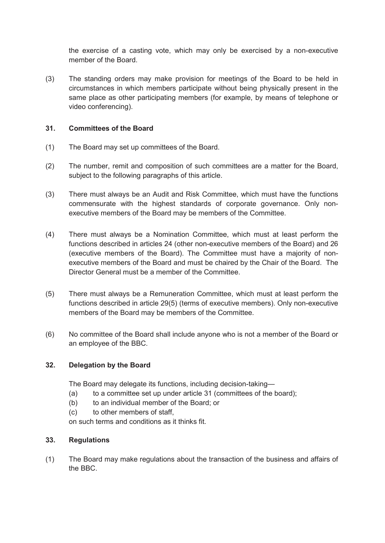the exercise of a casting vote, which may only be exercised by a non-executive member of the Board.

 $(3)$  circumstances in which members participate without being physically present in the same place as other participating members (for example, by means of telephone or The standing orders may make provision for meetings of the Board to be held in video conferencing).

#### **31. Committees of the Board**

- (1) The Board may set up committees of the Board.
- $(2)$ subject to the following paragraphs of this article. The number, remit and composition of such committees are a matter for the Board,
- $(3)$ There must always be an Audit and Risk Committee, which must have the functions commensurate with the highest standards of corporate governance. Only nonexecutive members of the Board may be members of the Committee.
- (4) There must always be a Nomination Committee, which must at least perform the functions described in articles 24 (other non-executive members of the Board) and 26 executive members of the Board and must be chaired by the Chair of the Board. The (executive members of the Board). The Committee must have a majority of non-Director General must be a member of the Committee.
- $(5)$ There must always be a Remuneration Committee, which must at least perform the functions described in article 29(5) (terms of executive members). Only non-executive members of the Board may be members of the Committee.
- $(6)$ No committee of the Board shall include anyone who is not a member of the Board or an employee of the BBC.

#### **32. Delegation by the Board**

The Board may delegate its functions, including decision-taking—

- (a) to a committee set up under article 31 (committees of the board);
- (b) to an individual member of the Board; or
- (c) to other members of staff,

on such terms and conditions as it thinks fit.

#### **33. Regulations**

(1) The Board may make regulations about the transaction of the business and affairs of the BBC.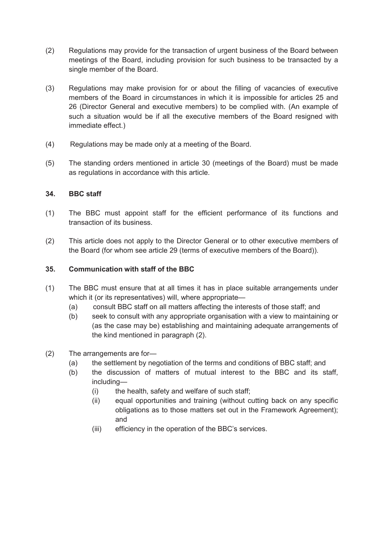- $(2)$ Regulations may provide for the transaction of urgent business of the Board between meetings of the Board, including provision for such business to be transacted by a single member of the Board.
- $(3)$  members of the Board in circumstances in which it is impossible for articles 25 and Regulations may make provision for or about the filling of vacancies of executive 26 (Director General and executive members) to be complied with. (An example of such a situation would be if all the executive members of the Board resigned with immediate effect.)
- $(4)$ Regulations may be made only at a meeting of the Board.
- $(5)$ The standing orders mentioned in article 30 (meetings of the Board) must be made as regulations in accordance with this article.

#### **34. BBC staff**

- (1) The BBC must appoint staff for the efficient performance of its functions and transaction of its business.
- (2) This article does not apply to the Director General or to other executive members of the Board (for whom see article 29 (terms of executive members of the Board)).

#### **35. Communication with staff of the BBC**

- (1) The BBC must ensure that at all times it has in place suitable arrangements under which it (or its representatives) will, where appropriate—
	- (a) consult BBC staff on all matters affecting the interests of those staff; and
	- (as the case may be) establishing and maintaining adequate arrangements of (b) seek to consult with any appropriate organisation with a view to maintaining or the kind mentioned in paragraph (2).
- (2) The arrangements are for-
	- (a) the settlement by negotiation of the terms and conditions of BBC staff; and
	- (b) the discussion of matters of mutual interest to the BBC and its staff, including—
		- (i) the health, safety and welfare of such staff;
		- (ii) equal opportunities and training (without cutting back on any specific obligations as to those matters set out in the Framework Agreement); and
		- (iii) efficiency in the operation of the BBC's services.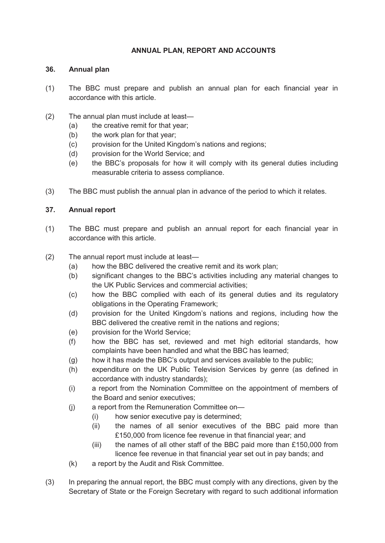#### **ANNUAL PLAN, REPORT AND ACCOUNTS**

#### **36. Annual plan**

- (1) The BBC must prepare and publish an annual plan for each financial year in accordance with this article.
- (2) The annual plan must include at least—
	- (a) the creative remit for that year;
	- (b) the work plan for that year;
	- (c) provision for the United Kingdom's nations and regions;
	- (d) provision for the World Service; and
	- (e) the BBC's proposals for how it will comply with its general duties including measurable criteria to assess compliance.
- (3) The BBC must publish the annual plan in advance of the period to which it relates.

#### **37. Annual report**

- (1) The BBC must prepare and publish an annual report for each financial year in accordance with this article.
- (2) The annual report must include at least—
	- (a) how the BBC delivered the creative remit and its work plan;
	- (b) significant changes to the BBC's activities including any material changes to the UK Public Services and commercial activities;
	- (c) how the BBC complied with each of its general duties and its regulatory obligations in the Operating Framework;
	- (d) provision for the United Kingdom's nations and regions, including how the BBC delivered the creative remit in the nations and regions;
	- (e) provision for the World Service;
	- (f) how the BBC has set, reviewed and met high editorial standards, how complaints have been handled and what the BBC has learned;
	- (g) how it has made the BBC's output and services available to the public;
	- (h) expenditure on the UK Public Television Services by genre (as defined in accordance with industry standards);
	- (i) a report from the Nomination Committee on the appointment of members of the Board and senior executives;
	- (j) a report from the Remuneration Committee on—
		- (i) how senior executive pay is determined;
		- (ii) the names of all senior executives of the BBC paid more than £150,000 from licence fee revenue in that financial year; and
		- (iii) the names of all other staff of the BBC paid more than  $£150,000$  from licence fee revenue in that financial year set out in pay bands; and
	- $(k)$ a report by the Audit and Risk Committee.
- Secretary of State or the Foreign Secretary with regard to such additional information (3) In preparing the annual report, the BBC must comply with any directions, given by the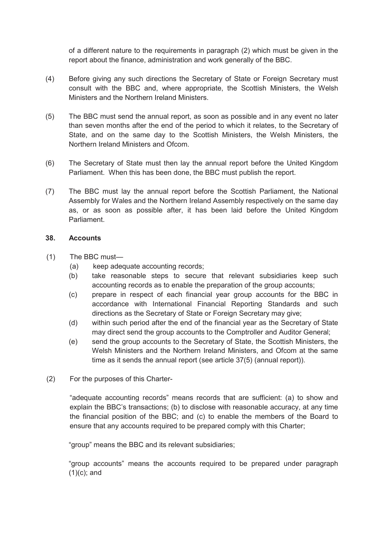of a different nature to the requirements in paragraph (2) which must be given in the report about the finance, administration and work generally of the BBC.

- (4) Before giving any such directions the Secretary of State or Foreign Secretary must consult with the BBC and, where appropriate, the Scottish Ministers, the Welsh Ministers and the Northern Ireland Ministers.
- State, and on the same day to the Scottish Ministers, the Welsh Ministers, the (5) The BBC must send the annual report, as soon as possible and in any event no later than seven months after the end of the period to which it relates, to the Secretary of Northern Ireland Ministers and Ofcom.
- Parliament. When this has been done, the BBC must publish the report. (6) The Secretary of State must then lay the annual report before the United Kingdom
- (7) The BBC must lay the annual report before the Scottish Parliament, the National Assembly for Wales and the Northern Ireland Assembly respectively on the same day as, or as soon as possible after, it has been laid before the United Kingdom Parliament.

#### **38. Accounts**

- (1) The BBC must-
	- (a) keep adequate accounting records;
	- (b) take reasonable steps to secure that relevant subsidiaries keep such accounting records as to enable the preparation of the group accounts;
	- (c) prepare in respect of each financial year group accounts for the BBC in directions as the Secretary of State or Foreign Secretary may give; accordance with International Financial Reporting Standards and such
	- (d) within such period after the end of the financial year as the Secretary of State may direct send the group accounts to the Comptroller and Auditor General;
	- Welsh Ministers and the Northern Ireland Ministers, and Ofcom at the same (e) send the group accounts to the Secretary of State, the Scottish Ministers, the time as it sends the annual report (see article 37(5) (annual report)).
- (2) For the purposes of this Charter-

 "adequate accounting records" means records that are sufficient: (a) to show and explain the BBC's transactions; (b) to disclose with reasonable accuracy, at any time the financial position of the BBC; and (c) to enable the members of the Board to ensure that any accounts required to be prepared comply with this Charter;

"group" means the BBC and its relevant subsidiaries;

 "group accounts" means the accounts required to be prepared under paragraph (1)(c); and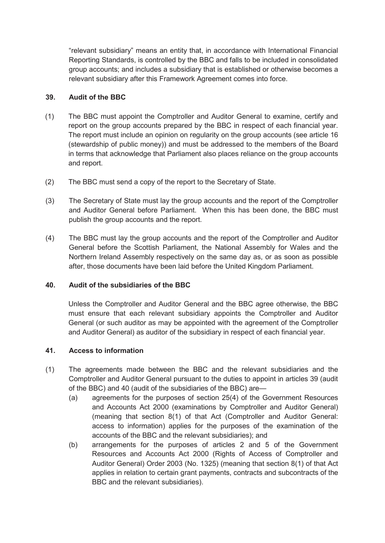"relevant subsidiary" means an entity that, in accordance with International Financial Reporting Standards, is controlled by the BBC and falls to be included in consolidated group accounts; and includes a subsidiary that is established or otherwise becomes a relevant subsidiary after this Framework Agreement comes into force.

#### **39. Audit of the BBC**

- (1) The BBC must appoint the Comptroller and Auditor General to examine, certify and report on the group accounts prepared by the BBC in respect of each financial year. (stewardship of public money)) and must be addressed to the members of the Board The report must include an opinion on regularity on the group accounts (see article 16 in terms that acknowledge that Parliament also places reliance on the group accounts and report.
- (2) The BBC must send a copy of the report to the Secretary of State.
- (3) The Secretary of State must lay the group accounts and the report of the Comptroller and Auditor General before Parliament. When this has been done, the BBC must publish the group accounts and the report.
- General before the Scottish Parliament, the National Assembly for Wales and the (4) The BBC must lay the group accounts and the report of the Comptroller and Auditor Northern Ireland Assembly respectively on the same day as, or as soon as possible after, those documents have been laid before the United Kingdom Parliament.

#### **40. Audit of the subsidiaries of the BBC**

 General (or such auditor as may be appointed with the agreement of the Comptroller and Auditor General) as auditor of the subsidiary in respect of each financial year. Unless the Comptroller and Auditor General and the BBC agree otherwise, the BBC must ensure that each relevant subsidiary appoints the Comptroller and Auditor

#### **41. Access to information**

- Comptroller and Auditor General pursuant to the duties to appoint in articles 39 (audit (1) The agreements made between the BBC and the relevant subsidiaries and the of the BBC) and 40 (audit of the subsidiaries of the BBC) are—
	- (a) agreements for the purposes of section 25(4) of the Government Resources and Accounts Act 2000 (examinations by Comptroller and Auditor General) (meaning that section 8(1) of that Act (Comptroller and Auditor General: access to information) applies for the purposes of the examination of the accounts of the BBC and the relevant subsidiaries); and
	- (b) arrangements for the purposes of articles 2 and 5 of the Government Resources and Accounts Act 2000 (Rights of Access of Comptroller and Auditor General) Order 2003 (No. 1325) (meaning that section 8(1) of that Act applies in relation to certain grant payments, contracts and subcontracts of the BBC and the relevant subsidiaries).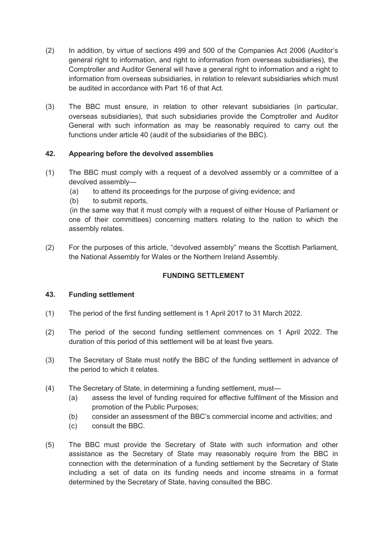- Comptroller and Auditor General will have a general right to information and a right to information from overseas subsidiaries, in relation to relevant subsidiaries which must (2) In addition, by virtue of sections 499 and 500 of the Companies Act 2006 (Auditor's general right to information, and right to information from overseas subsidiaries), the be audited in accordance with Part 16 of that Act.
- (3) The BBC must ensure, in relation to other relevant subsidiaries (in particular, overseas subsidiaries), that such subsidiaries provide the Comptroller and Auditor General with such information as may be reasonably required to carry out the functions under article 40 (audit of the subsidiaries of the BBC).

#### **42. Appearing before the devolved assemblies**

- (1) The BBC must comply with a request of a devolved assembly or a committee of a devolved assembly—
	- (a) to attend its proceedings for the purpose of giving evidence; and
	- (b) to submit reports,

 one of their committees) concerning matters relating to the nation to which the (in the same way that it must comply with a request of either House of Parliament or assembly relates.

(2) For the purposes of this article, "devolved assembly" means the Scottish Parliament, the National Assembly for Wales or the Northern Ireland Assembly.

#### **FUNDING SETTLEMENT**

#### **43. Funding settlement**

- (1) The period of the first funding settlement is 1 April 2017 to 31 March 2022.
- (2) The period of the second funding settlement commences on 1 April 2022. The duration of this period of this settlement will be at least five years.
- (3) The Secretary of State must notify the BBC of the funding settlement in advance of the period to which it relates.
- (4) The Secretary of State, in determining a funding settlement, must—
	- (a) assess the level of funding required for effective fulfilment of the Mission and promotion of the Public Purposes;
	- (b) consider an assessment of the BBC's commercial income and activities; and
	- (c) consult the BBC.
- connection with the determination of a funding settlement by the Secretary of State (5) The BBC must provide the Secretary of State with such information and other assistance as the Secretary of State may reasonably require from the BBC in including a set of data on its funding needs and income streams in a format determined by the Secretary of State, having consulted the BBC.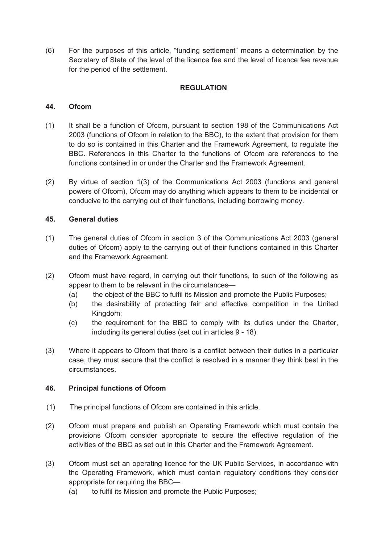(6) For the purposes of this article, "funding settlement" means a determination by the Secretary of State of the level of the licence fee and the level of licence fee revenue for the period of the settlement.

#### **REGULATION**

#### **44. Ofcom**

- (1) It shall be a function of Ofcom, pursuant to section 198 of the Communications Act 2003 (functions of Ofcom in relation to the BBC), to the extent that provision for them functions contained in or under the Charter and the Framework Agreement. to do so is contained in this Charter and the Framework Agreement, to regulate the BBC. References in this Charter to the functions of Ofcom are references to the
- powers of Ofcom), Ofcom may do anything which appears to them to be incidental or (2) By virtue of section 1(3) of the Communications Act 2003 (functions and general conducive to the carrying out of their functions, including borrowing money.

#### **45. General duties**

- duties of Ofcom) apply to the carrying out of their functions contained in this Charter (1) The general duties of Ofcom in section 3 of the Communications Act 2003 (general and the Framework Agreement.
- (2) Ofcom must have regard, in carrying out their functions, to such of the following as appear to them to be relevant in the circumstances—
	- $(a)$ the object of the BBC to fulfil its Mission and promote the Public Purposes;
	- (b) the desirability of protecting fair and effective competition in the United Kingdom;
	- (c) the requirement for the BBC to comply with its duties under the Charter, including its general duties (set out in articles 9 - 18).
- case, they must secure that the conflict is resolved in a manner they think best in the (3) Where it appears to Ofcom that there is a conflict between their duties in a particular circumstances.

#### **46. Principal functions of Ofcom**

- (1) The principal functions of Ofcom are contained in this article.
- (2) Ofcom must prepare and publish an Operating Framework which must contain the provisions Ofcom consider appropriate to secure the effective regulation of the activities of the BBC as set out in this Charter and the Framework Agreement.
- (3) Ofcom must set an operating licence for the UK Public Services, in accordance with the Operating Framework, which must contain regulatory conditions they consider appropriate for requiring the BBC—
	- (a) to fulfil its Mission and promote the Public Purposes;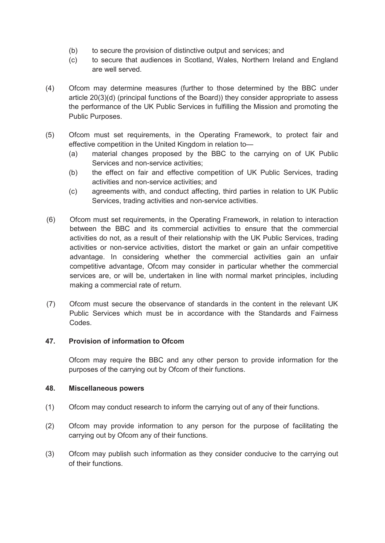- (b) to secure the provision of distinctive output and services; and
- (c) to secure that audiences in Scotland, Wales, Northern Ireland and England are well served.
- article 20(3)(d) (principal functions of the Board)) they consider appropriate to assess the performance of the UK Public Services in fulfilling the Mission and promoting the (4) Ofcom may determine measures (further to those determined by the BBC under Public Purposes.
- (5) Ofcom must set requirements, in the Operating Framework, to protect fair and effective competition in the United Kingdom in relation to—
	- (a) material changes proposed by the BBC to the carrying on of UK Public Services and non-service activities;
	- (b) the effect on fair and effective competition of UK Public Services, trading activities and non-service activities; and
	- (c) agreements with, and conduct affecting, third parties in relation to UK Public Services, trading activities and non-service activities.
- between the BBC and its commercial activities to ensure that the commercial activities or non-service activities, distort the market or gain an unfair competitive competitive advantage, Ofcom may consider in particular whether the commercial (6) Ofcom must set requirements, in the Operating Framework, in relation to interaction activities do not, as a result of their relationship with the UK Public Services, trading advantage. In considering whether the commercial activities gain an unfair services are, or will be, undertaken in line with normal market principles, including making a commercial rate of return.
- (7) Ofcom must secure the observance of standards in the content in the relevant UK Public Services which must be in accordance with the Standards and Fairness Codes.

#### **47. Provision of information to Ofcom**

 Ofcom may require the BBC and any other person to provide information for the purposes of the carrying out by Ofcom of their functions.

#### **48. Miscellaneous powers**

- (1) Ofcom may conduct research to inform the carrying out of any of their functions.
- (2) Ofcom may provide information to any person for the purpose of facilitating the carrying out by Ofcom any of their functions.
- (3) Ofcom may publish such information as they consider conducive to the carrying out of their functions.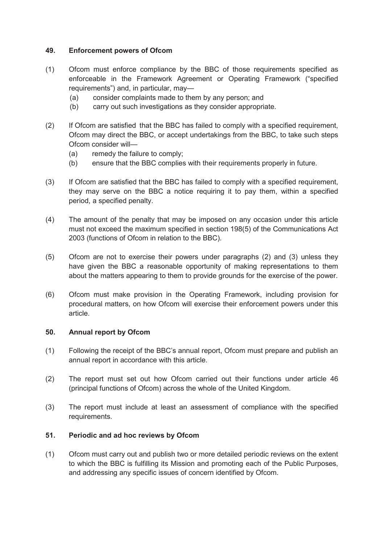#### **49. Enforcement powers of Ofcom**

- enforceable in the Framework Agreement or Operating Framework ("specified (1) Ofcom must enforce compliance by the BBC of those requirements specified as requirements") and, in particular, may—
	- (a) consider complaints made to them by any person; and
	- (b) carry out such investigations as they consider appropriate.
- $(2)$  Ofcom may direct the BBC, or accept undertakings from the BBC, to take such steps If Ofcom are satisfied that the BBC has failed to comply with a specified requirement, Ofcom consider will—
	- (a) remedy the failure to comply;
	- (b) ensure that the BBC complies with their requirements properly in future.
- $(3)$ If Ofcom are satisfied that the BBC has failed to comply with a specified requirement, they may serve on the BBC a notice requiring it to pay them, within a specified period, a specified penalty.
- $(4)$  must not exceed the maximum specified in section 198(5) of the Communications Act The amount of the penalty that may be imposed on any occasion under this article 2003 (functions of Ofcom in relation to the BBC).
- (5) Ofcom are not to exercise their powers under paragraphs (2) and (3) unless they about the matters appearing to them to provide grounds for the exercise of the power. have given the BBC a reasonable opportunity of making representations to them
- Ofcom must make provision in the Operating Framework, including provision for (6) Ofcom must make provision in the Operating Framework, including provision for procedural matters, on how Ofcom will exercise their enforcement powers under this article.

#### **50. Annual report by Ofcom**

- (1) Following the receipt of the BBC's annual report, Ofcom must prepare and publish an annual report in accordance with this article.
- (2) The report must set out how Ofcom carried out their functions under article 46 (principal functions of Ofcom) across the whole of the United Kingdom.
- (3) The report must include at least an assessment of compliance with the specified requirements.

#### **51. Periodic and ad hoc reviews by Ofcom**

(1) Ofcom must carry out and publish two or more detailed periodic reviews on the extent to which the BBC is fulfilling its Mission and promoting each of the Public Purposes, and addressing any specific issues of concern identified by Ofcom.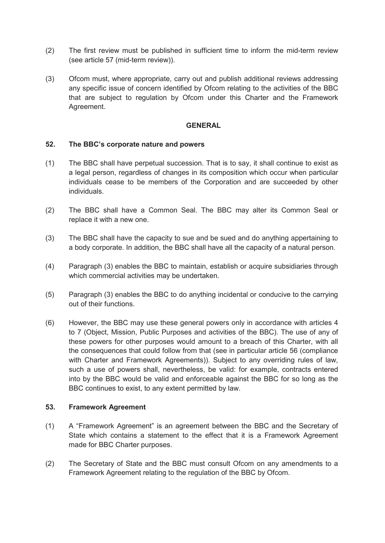- (2) The first review must be published in sufficient time to inform the mid-term review (see article 57 (mid-term review)).
- that are subject to regulation by Ofcom under this Charter and the Framework (3) Ofcom must, where appropriate, carry out and publish additional reviews addressing any specific issue of concern identified by Ofcom relating to the activities of the BBC Agreement.

#### **GENERAL**

#### **52. The BBC's corporate nature and powers**

- (1) The BBC shall have perpetual succession. That is to say, it shall continue to exist as a legal person, regardless of changes in its composition which occur when particular individuals cease to be members of the Corporation and are succeeded by other individuals.
- (2) The BBC shall have a Common Seal. The BBC may alter its Common Seal or replace it with a new one.
- (3) The BBC shall have the capacity to sue and be sued and do anything appertaining to a body corporate. In addition, the BBC shall have all the capacity of a natural person.
- (4) Paragraph (3) enables the BBC to maintain, establish or acquire subsidiaries through which commercial activities may be undertaken.
- (5) Paragraph (3) enables the BBC to do anything incidental or conducive to the carrying out of their functions.
- (6) However, the BBC may use these general powers only in accordance with articles 4 these powers for other purposes would amount to a breach of this Charter, with all into by the BBC would be valid and enforceable against the BBC for so long as the to 7 (Object, Mission, Public Purposes and activities of the BBC). The use of any of the consequences that could follow from that (see in particular article 56 (compliance with Charter and Framework Agreements)). Subject to any overriding rules of law, such a use of powers shall, nevertheless, be valid: for example, contracts entered BBC continues to exist, to any extent permitted by law.

#### **53. Framework Agreement**

- (1) A "Framework Agreement" is an agreement between the BBC and the Secretary of State which contains a statement to the effect that it is a Framework Agreement made for BBC Charter purposes.
- (2) The Secretary of State and the BBC must consult Ofcom on any amendments to a Framework Agreement relating to the regulation of the BBC by Ofcom.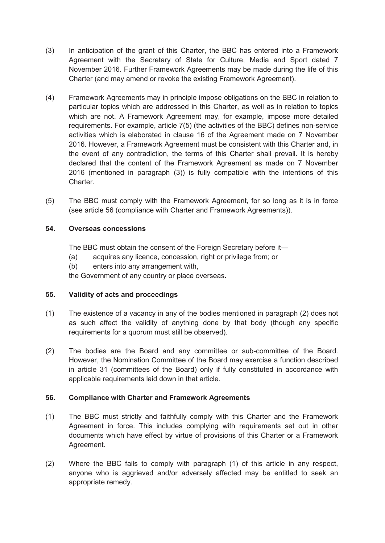- (3) In anticipation of the grant of this Charter, the BBC has entered into a Framework Agreement with the Secretary of State for Culture, Media and Sport dated 7 November 2016. Further Framework Agreements may be made during the life of this Charter (and may amend or revoke the existing Framework Agreement).
- (4) Framework Agreements may in principle impose obligations on the BBC in relation to particular topics which are addressed in this Charter, as well as in relation to topics which are not. A Framework Agreement may, for example, impose more detailed requirements. For example, article 7(5) (the activities of the BBC) defines non-service 2016. However, a Framework Agreement must be consistent with this Charter and, in the event of any contradiction, the terms of this Charter shall prevail. It is hereby 2016 (mentioned in paragraph (3)) is fully compatible with the intentions of this activities which is elaborated in clause 16 of the Agreement made on 7 November declared that the content of the Framework Agreement as made on 7 November Charter.
- (5) The BBC must comply with the Framework Agreement, for so long as it is in force (see article 56 (compliance with Charter and Framework Agreements)).

#### **54. Overseas concessions**

The BBC must obtain the consent of the Foreign Secretary before it—

- $(a)$ acquires any licence, concession, right or privilege from; or
- (b) enters into any arrangement with,

the Government of any country or place overseas.

#### **55. Validity of acts and proceedings**

- (1) The existence of a vacancy in any of the bodies mentioned in paragraph (2) does not as such affect the validity of anything done by that body (though any specific requirements for a quorum must still be observed).
- (2) The bodies are the Board and any committee or sub-committee of the Board. in article 31 (committees of the Board) only if fully constituted in accordance with However, the Nomination Committee of the Board may exercise a function described applicable requirements laid down in that article.

#### **56. Compliance with Charter and Framework Agreements**

- (1) The BBC must strictly and faithfully comply with this Charter and the Framework Agreement in force. This includes complying with requirements set out in other documents which have effect by virtue of provisions of this Charter or a Framework Agreement.
- anyone who is aggrieved and/or adversely affected may be entitled to seek an (2) Where the BBC fails to comply with paragraph (1) of this article in any respect, appropriate remedy.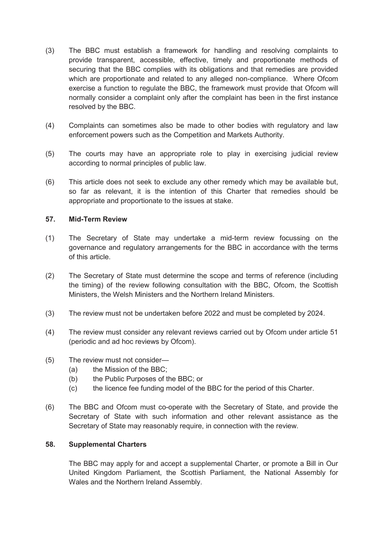- (3) The BBC must establish a framework for handling and resolving complaints to provide transparent, accessible, effective, timely and proportionate methods of securing that the BBC complies with its obligations and that remedies are provided which are proportionate and related to any alleged non-compliance. Where Ofcom exercise a function to regulate the BBC, the framework must provide that Ofcom will normally consider a complaint only after the complaint has been in the first instance resolved by the BBC.
- (4) Complaints can sometimes also be made to other bodies with regulatory and law enforcement powers such as the Competition and Markets Authority.
- (5) The courts may have an appropriate role to play in exercising judicial review according to normal principles of public law.
- so far as relevant, it is the intention of this Charter that remedies should be (6) This article does not seek to exclude any other remedy which may be available but, appropriate and proportionate to the issues at stake.

#### **57. Mid-Term Review**

- governance and regulatory arrangements for the BBC in accordance with the terms (1) The Secretary of State may undertake a mid-term review focussing on the of this article.
- (2) The Secretary of State must determine the scope and terms of reference (including the timing) of the review following consultation with the BBC, Ofcom, the Scottish Ministers, the Welsh Ministers and the Northern Ireland Ministers.
- (3) The review must not be undertaken before 2022 and must be completed by 2024.
- (4) The review must consider any relevant reviews carried out by Ofcom under article 51 (periodic and ad hoc reviews by Ofcom).
- (5) The review must not consider—
	- (a) the Mission of the BBC;
	- (b) the Public Purposes of the BBC; or
	- (c) the licence fee funding model of the BBC for the period of this Charter.
- Secretary of State with such information and other relevant assistance as the (6) The BBC and Ofcom must co-operate with the Secretary of State, and provide the Secretary of State may reasonably require, in connection with the review.

#### **58. Supplemental Charters**

The BBC may apply for and accept a supplemental Charter, or promote a Bill in Our United Kingdom Parliament, the Scottish Parliament, the National Assembly for Wales and the Northern Ireland Assembly.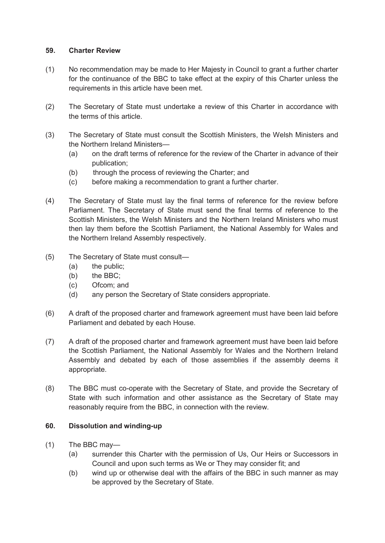#### **59. Charter Review**

- (1) No recommendation may be made to Her Majesty in Council to grant a further charter for the continuance of the BBC to take effect at the expiry of this Charter unless the requirements in this article have been met.
- (2) The Secretary of State must undertake a review of this Charter in accordance with the terms of this article.
- (3) The Secretary of State must consult the Scottish Ministers, the Welsh Ministers and the Northern Ireland Ministers—
	- (a) on the draft terms of reference for the review of the Charter in advance of their publication;
	- (b) through the process of reviewing the Charter; and
	- $(c)$ before making a recommendation to grant a further charter.
- Parliament. The Secretary of State must send the final terms of reference to the then lay them before the Scottish Parliament, the National Assembly for Wales and (4) The Secretary of State must lay the final terms of reference for the review before Scottish Ministers, the Welsh Ministers and the Northern Ireland Ministers who must the Northern Ireland Assembly respectively.
- (5) The Secretary of State must consult—
	- (a) the public;
	- (b) the BBC;
	- (c) Ofcom; and
	- (d) any person the Secretary of State considers appropriate.
- (6) A draft of the proposed charter and framework agreement must have been laid before Parliament and debated by each House.
- (7) A draft of the proposed charter and framework agreement must have been laid before the Scottish Parliament, the National Assembly for Wales and the Northern Ireland Assembly and debated by each of those assemblies if the assembly deems it appropriate.
- (8) The BBC must co-operate with the Secretary of State, and provide the Secretary of State with such information and other assistance as the Secretary of State may reasonably require from the BBC, in connection with the review.

#### **60. Dissolution and winding-up**

- $(1)$  The BBC may-
	- $(a)$  Council and upon such terms as We or They may consider fit; and surrender this Charter with the permission of Us, Our Heirs or Successors in
	- (b) wind up or otherwise deal with the affairs of the BBC in such manner as may be approved by the Secretary of State.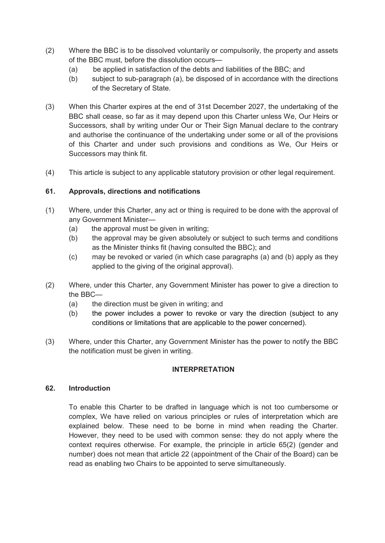- (2) Where the BBC is to be dissolved voluntarily or compulsorily, the property and assets of the BBC must, before the dissolution occurs—
	- $(a)$ be applied in satisfaction of the debts and liabilities of the BBC; and
	- (b) subject to sub-paragraph (a), be disposed of in accordance with the directions of the Secretary of State.
- (3) When this Charter expires at the end of 31st December 2027, the undertaking of the BBC shall cease, so far as it may depend upon this Charter unless We, Our Heirs or Successors, shall by writing under Our or Their Sign Manual declare to the contrary and authorise the continuance of the undertaking under some or all of the provisions of this Charter and under such provisions and conditions as We, Our Heirs or Successors may think fit.
- (4) This article is subject to any applicable statutory provision or other legal requirement.

#### **61. Approvals, directions and notifications**

- (1) Where, under this Charter, any act or thing is required to be done with the approval of any Government Minister—
	- (a) the approval must be given in writing;
	- (b) the approval may be given absolutely or subject to such terms and conditions as the Minister thinks fit (having consulted the BBC); and
	- (c) may be revoked or varied (in which case paragraphs (a) and (b) apply as they applied to the giving of the original approval).
- (2) Where, under this Charter, any Government Minister has power to give a direction to the BBC—
	- $(a)$ the direction must be given in writing; and
	- (b) the power includes a power to revoke or vary the direction (subject to any conditions or limitations that are applicable to the power concerned).
- (3) Where, under this Charter, any Government Minister has the power to notify the BBC the notification must be given in writing.

#### **INTERPRETATION**

#### **62. Introduction**

 complex, We have relied on various principles or rules of interpretation which are explained below. These need to be borne in mind when reading the Charter. To enable this Charter to be drafted in language which is not too cumbersome or However, they need to be used with common sense: they do not apply where the context requires otherwise. For example, the principle in article 65(2) (gender and number) does not mean that article 22 (appointment of the Chair of the Board) can be read as enabling two Chairs to be appointed to serve simultaneously.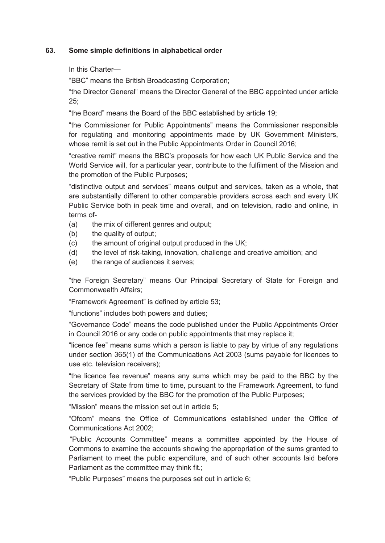#### **63. Some simple definitions in alphabetical order**

In this Charter—

"BBC" means the British Broadcasting Corporation;

"the Director General" means the Director General of the BBC appointed under article 25;

"the Board" means the Board of the BBC established by article 19;

 "the Commissioner for Public Appointments" means the Commissioner responsible for regulating and monitoring appointments made by UK Government Ministers, whose remit is set out in the Public Appointments Order in Council 2016;

 "creative remit" means the BBC's proposals for how each UK Public Service and the World Service will, for a particular year, contribute to the fulfilment of the Mission and the promotion of the Public Purposes;

 are substantially different to other comparable providers across each and every UK Public Service both in peak time and overall, and on television, radio and online, in "distinctive output and services" means output and services, taken as a whole, that terms of-

(a) the mix of different genres and output;

- (b) the quality of output;
- (c) the amount of original output produced in the UK;
- (d) the level of risk-taking, innovation, challenge and creative ambition; and
- (e) the range of audiences it serves;

 "the Foreign Secretary" means Our Principal Secretary of State for Foreign and Commonwealth Affairs;

"Framework Agreement" is defined by article 53;

"functions" includes both powers and duties;

 "Governance Code" means the code published under the Public Appointments Order in Council 2016 or any code on public appointments that may replace it;

 "licence fee" means sums which a person is liable to pay by virtue of any regulations under section 365(1) of the Communications Act 2003 (sums payable for licences to use etc. television receivers);

 Secretary of State from time to time, pursuant to the Framework Agreement, to fund "the licence fee revenue" means any sums which may be paid to the BBC by the the services provided by the BBC for the promotion of the Public Purposes;

"Mission" means the mission set out in article 5;

 "Ofcom" means the Office of Communications established under the Office of Communications Act 2002;

 Commons to examine the accounts showing the appropriation of the sums granted to Parliament to meet the public expenditure, and of such other accounts laid before "Public Accounts Committee" means a committee appointed by the House of Parliament as the committee may think fit.;

"Public Purposes" means the purposes set out in article 6;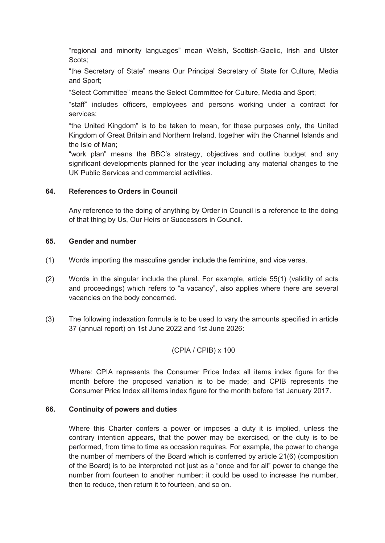"regional and minority languages" mean Welsh, Scottish-Gaelic, Irish and Ulster Scots;

"the Secretary of State" means Our Principal Secretary of State for Culture, Media and Sport;

"Select Committee" means the Select Committee for Culture, Media and Sport;

 "staff" includes officers, employees and persons working under a contract for services;

 Kingdom of Great Britain and Northern Ireland, together with the Channel Islands and "the United Kingdom" is to be taken to mean, for these purposes only, the United the Isle of Man;

 "work plan" means the BBC's strategy, objectives and outline budget and any significant developments planned for the year including any material changes to the UK Public Services and commercial activities.

#### **64. References to Orders in Council**

 Any reference to the doing of anything by Order in Council is a reference to the doing of that thing by Us, Our Heirs or Successors in Council.

#### **65. Gender and number**

- (1) Words importing the masculine gender include the feminine, and vice versa.
- and proceedings) which refers to "a vacancy", also applies where there are several (2) Words in the singular include the plural. For example, article 55(1) (validity of acts vacancies on the body concerned.
- (3) The following indexation formula is to be used to vary the amounts specified in article 37 (annual report) on 1st June 2022 and 1st June 2026:

$$
(CPIA / CPIB) \times 100
$$

Where: CPIA represents the Consumer Price Index all items index figure for the month before the proposed variation is to be made; and CPIB represents the Consumer Price Index all items index figure for the month before 1st January 2017.

#### **66. Continuity of powers and duties**

 contrary intention appears, that the power may be exercised, or the duty is to be performed, from time to time as occasion requires. For example, the power to change the number of members of the Board which is conferred by article 21(6) (composition number from fourteen to another number: it could be used to increase the number, Where this Charter confers a power or imposes a duty it is implied, unless the of the Board) is to be interpreted not just as a "once and for all" power to change the then to reduce, then return it to fourteen, and so on.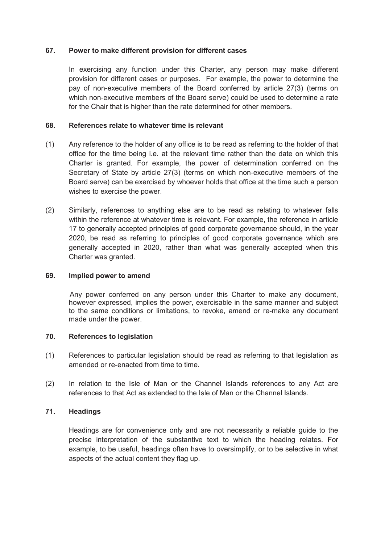#### **67. Power to make different provision for different cases**

 In exercising any function under this Charter, any person may make different provision for different cases or purposes. For example, the power to determine the pay of non-executive members of the Board conferred by article 27(3) (terms on which non-executive members of the Board serve) could be used to determine a rate for the Chair that is higher than the rate determined for other members.

#### **68. References relate to whatever time is relevant**

- (1) Any reference to the holder of any office is to be read as referring to the holder of that Charter is granted. For example, the power of determination conferred on the office for the time being i.e. at the relevant time rather than the date on which this Secretary of State by article 27(3) (terms on which non-executive members of the Board serve) can be exercised by whoever holds that office at the time such a person wishes to exercise the power.
- within the reference at whatever time is relevant. For example, the reference in article 17 to generally accepted principles of good corporate governance should, in the year generally accepted in 2020, rather than what was generally accepted when this (2) Similarly, references to anything else are to be read as relating to whatever falls 2020, be read as referring to principles of good corporate governance which are Charter was granted.

#### **69. Implied power to amend**

 made under the power. Any power conferred on any person under this Charter to make any document, however expressed, implies the power, exercisable in the same manner and subject to the same conditions or limitations, to revoke, amend or re-make any document

#### **70. References to legislation**

- (1) References to particular legislation should be read as referring to that legislation as amended or re-enacted from time to time.
- (2) In relation to the Isle of Man or the Channel Islands references to any Act are references to that Act as extended to the Isle of Man or the Channel Islands.

#### **71. Headings**

 precise interpretation of the substantive text to which the heading relates. For example, to be useful, headings often have to oversimplify, or to be selective in what Headings are for convenience only and are not necessarily a reliable guide to the aspects of the actual content they flag up.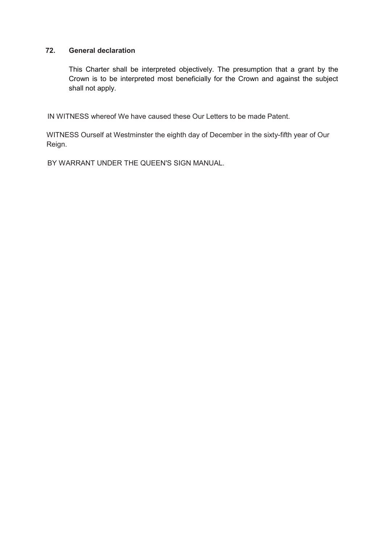#### **72. General declaration**

 This Charter shall be interpreted objectively. The presumption that a grant by the Crown is to be interpreted most beneficially for the Crown and against the subject shall not apply.

IN WITNESS whereof We have caused these Our Letters to be made Patent.

 WITNESS Ourself at Westminster the eighth day of December in the sixty-fifth year of Our Reign.

BY WARRANT UNDER THE QUEEN'S SIGN MANUAL.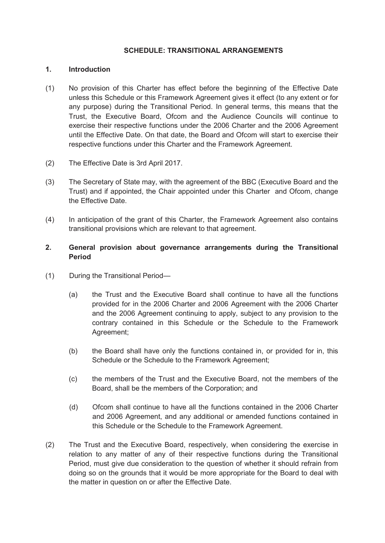#### **SCHEDULE: TRANSITIONAL ARRANGEMENTS**

#### **1. Introduction**

- (1) No provision of this Charter has effect before the beginning of the Effective Date unless this Schedule or this Framework Agreement gives it effect (to any extent or for until the Effective Date. On that date, the Board and Ofcom will start to exercise their any purpose) during the Transitional Period. In general terms, this means that the Trust, the Executive Board, Ofcom and the Audience Councils will continue to exercise their respective functions under the 2006 Charter and the 2006 Agreement respective functions under this Charter and the Framework Agreement.
- (2) The Effective Date is 3rd April 2017.
- (3) The Secretary of State may, with the agreement of the BBC (Executive Board and the Trust) and if appointed, the Chair appointed under this Charter and Ofcom, change the Effective Date.
- (4) In anticipation of the grant of this Charter, the Framework Agreement also contains transitional provisions which are relevant to that agreement.

#### **2. General provision about governance arrangements during the Transitional Period**

- $(1)$ During the Transitional Period-
	- and the 2006 Agreement continuing to apply, subject to any provision to the (a) the Trust and the Executive Board shall continue to have all the functions provided for in the 2006 Charter and 2006 Agreement with the 2006 Charter contrary contained in this Schedule or the Schedule to the Framework Agreement;
	- (b) the Board shall have only the functions contained in, or provided for in, this Schedule or the Schedule to the Framework Agreement;
	- (c) the members of the Trust and the Executive Board, not the members of the Board, shall be the members of the Corporation; and
	- and 2006 Agreement, and any additional or amended functions contained in (d) Ofcom shall continue to have all the functions contained in the 2006 Charter this Schedule or the Schedule to the Framework Agreement.
- doing so on the grounds that it would be more appropriate for the Board to deal with (2) The Trust and the Executive Board, respectively, when considering the exercise in relation to any matter of any of their respective functions during the Transitional Period, must give due consideration to the question of whether it should refrain from the matter in question on or after the Effective Date.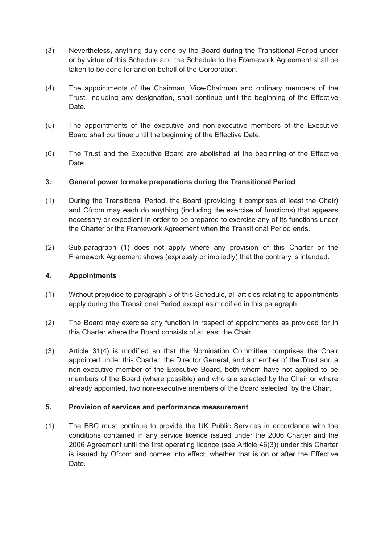- $(3)$ Nevertheless, anything duly done by the Board during the Transitional Period under or by virtue of this Schedule and the Schedule to the Framework Agreement shall be taken to be done for and on behalf of the Corporation.
- (4) The appointments of the Chairman, Vice-Chairman and ordinary members of the Trust, including any designation, shall continue until the beginning of the Effective Date.
- (5) The appointments of the executive and non-executive members of the Executive Board shall continue until the beginning of the Effective Date.
- (6) The Trust and the Executive Board are abolished at the beginning of the Effective Date.

#### **3. General power to make preparations during the Transitional Period**

- $(1)$  and Ofcom may each do anything (including the exercise of functions) that appears During the Transitional Period, the Board (providing it comprises at least the Chair) necessary or expedient in order to be prepared to exercise any of its functions under the Charter or the Framework Agreement when the Transitional Period ends.
- (2) Sub-paragraph (1) does not apply where any provision of this Charter or the Framework Agreement shows (expressly or impliedly) that the contrary is intended.

#### **4. Appointments**

- (1) Without prejudice to paragraph 3 of this Schedule, all articles relating to appointments apply during the Transitional Period except as modified in this paragraph.
- (2) The Board may exercise any function in respect of appointments as provided for in this Charter where the Board consists of at least the Chair.
- (3) Article 31(4) is modified so that the Nomination Committee comprises the Chair appointed under this Charter, the Director General, and a member of the Trust and a non-executive member of the Executive Board, both whom have not applied to be members of the Board (where possible) and who are selected by the Chair or where already appointed, two non-executive members of the Board selected by the Chair.

#### **5. Provision of services and performance measurement**

 is issued by Ofcom and comes into effect, whether that is on or after the Effective (1) The BBC must continue to provide the UK Public Services in accordance with the conditions contained in any service licence issued under the 2006 Charter and the 2006 Agreement until the first operating licence (see Article 46(3)) under this Charter Date.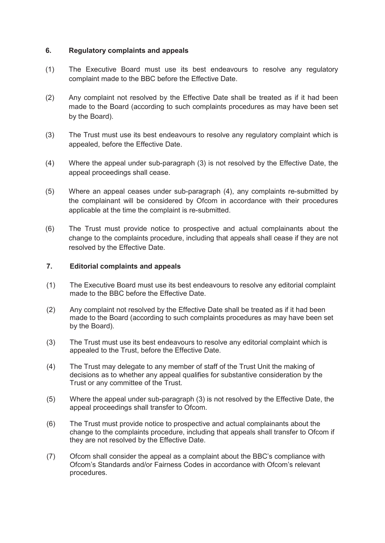#### **6. Regulatory complaints and appeals**

- complaint made to the BBC before the Effective Date. (1) The Executive Board must use its best endeavours to resolve any regulatory
- (2) Any complaint not resolved by the Effective Date shall be treated as if it had been made to the Board (according to such complaints procedures as may have been set by the Board).
- (3) The Trust must use its best endeavours to resolve any regulatory complaint which is appealed, before the Effective Date.
- (4) Where the appeal under sub-paragraph (3) is not resolved by the Effective Date, the appeal proceedings shall cease.
- (5) Where an appeal ceases under sub-paragraph (4), any complaints re-submitted by the complainant will be considered by Ofcom in accordance with their procedures applicable at the time the complaint is re-submitted.
- (6) The Trust must provide notice to prospective and actual complainants about the change to the complaints procedure, including that appeals shall cease if they are not resolved by the Effective Date.

#### **7. Editorial complaints and appeals**

- (1) The Executive Board must use its best endeavours to resolve any editorial complaint made to the BBC before the Effective Date.
- (2) Any complaint not resolved by the Effective Date shall be treated as if it had been made to the Board (according to such complaints procedures as may have been set by the Board).
- (3) The Trust must use its best endeavours to resolve any editorial complaint which is appealed to the Trust, before the Effective Date.
- (4) The Trust may delegate to any member of staff of the Trust Unit the making of decisions as to whether any appeal qualifies for substantive consideration by the Trust or any committee of the Trust.
- (5) Where the appeal under sub-paragraph (3) is not resolved by the Effective Date, the appeal proceedings shall transfer to Ofcom.
- (6) The Trust must provide notice to prospective and actual complainants about the change to the complaints procedure, including that appeals shall transfer to Ofcom if they are not resolved by the Effective Date.
- (7) Ofcom shall consider the appeal as a complaint about the BBC's compliance with Ofcom's Standards and/or Fairness Codes in accordance with Ofcom's relevant procedures.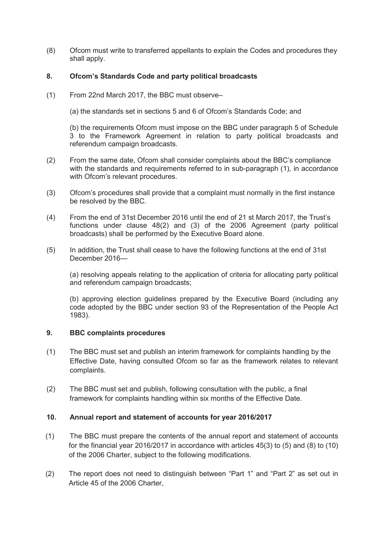(8) Ofcom must write to transferred appellants to explain the Codes and procedures they shall apply.

#### **8. Ofcom's Standards Code and party political broadcasts**

(1) From 22nd March 2017, the BBC must observe–

(a) the standards set in sections 5 and 6 of Ofcom's Standards Code; and

(b) the requirements Ofcom must impose on the BBC under paragraph 5 of Schedule 3 to the Framework Agreement in relation to party political broadcasts and referendum campaign broadcasts.

- (2) From the same date, Ofcom shall consider complaints about the BBC's compliance with the standards and requirements referred to in sub-paragraph (1), in accordance with Ofcom's relevant procedures.
- (3) Ofcom's procedures shall provide that a complaint must normally in the first instance be resolved by the BBC.
- (4) From the end of 31st December 2016 until the end of 21 st March 2017, the Trust's functions under clause 48(2) and (3) of the 2006 Agreement (party political broadcasts) shall be performed by the Executive Board alone.
- (5) In addition, the Trust shall cease to have the following functions at the end of 31st December 2016—

(a) resolving appeals relating to the application of criteria for allocating party political and referendum campaign broadcasts;

(b) approving election guidelines prepared by the Executive Board (including any code adopted by the BBC under section 93 of the Representation of the People Act 1983).

#### **9. BBC complaints procedures**

- (1) The BBC must set and publish an interim framework for complaints handling by the Effective Date, having consulted Ofcom so far as the framework relates to relevant complaints.
- (2) The BBC must set and publish, following consultation with the public, a final framework for complaints handling within six months of the Effective Date.

#### **10. Annual report and statement of accounts for year 2016/2017**

- $(1)$  for the financial year 2016/2017 in accordance with articles 45(3) to (5) and (8) to (10) The BBC must prepare the contents of the annual report and statement of accounts of the 2006 Charter, subject to the following modifications.
- (2) The report does not need to distinguish between "Part 1" and "Part 2" as set out in Article 45 of the 2006 Charter,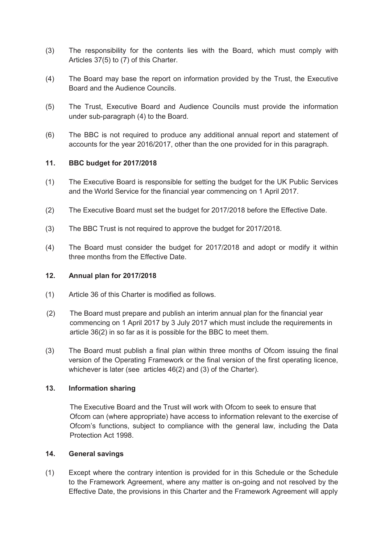- (3) The responsibility for the contents lies with the Board, which must comply with Articles 37(5) to (7) of this Charter.
- (4) The Board may base the report on information provided by the Trust, the Executive Board and the Audience Councils.
- (5) The Trust, Executive Board and Audience Councils must provide the information under sub-paragraph (4) to the Board.
- (6) The BBC is not required to produce any additional annual report and statement of accounts for the year 2016/2017, other than the one provided for in this paragraph.

#### **11. BBC budget for 2017/2018**

- (1) The Executive Board is responsible for setting the budget for the UK Public Services and the World Service for the financial year commencing on 1 April 2017.
- (2) The Executive Board must set the budget for 2017/2018 before the Effective Date.
- (3) The BBC Trust is not required to approve the budget for 2017/2018.
- (4) The Board must consider the budget for 2017/2018 and adopt or modify it within three months from the Effective Date.

#### **12. Annual plan for 2017/2018**

- (1) Article 36 of this Charter is modified as follows.
- article 36(2) in so far as it is possible for the BBC to meet them. (2) The Board must prepare and publish an interim annual plan for the financial year commencing on 1 April 2017 by 3 July 2017 which must include the requirements in
- version of the Operating Framework or the final version of the first operating licence, (3) The Board must publish a final plan within three months of Ofcom issuing the final whichever is later (see articles 46(2) and (3) of the Charter).

#### **13. Information sharing**

 The Executive Board and the Trust will work with Ofcom to seek to ensure that Ofcom can (where appropriate) have access to information relevant to the exercise of Ofcom's functions, subject to compliance with the general law, including the Data Protection Act 1998.

#### **14. General savings**

(1) Except where the contrary intention is provided for in this Schedule or the Schedule to the Framework Agreement, where any matter is on-going and not resolved by the Effective Date, the provisions in this Charter and the Framework Agreement will apply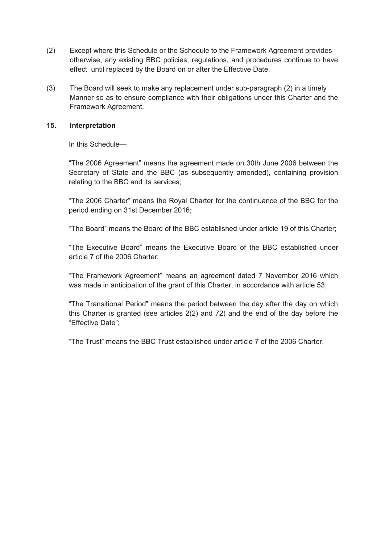- otherwise, any existing BBC policies, regulations, and procedures continue to have effect until replaced by the Board on or after the Effective Date. (2) Except where this Schedule or the Schedule to the Framework Agreement provides
- (3) The Board will seek to make any replacement under sub-paragraph (2) in a timely Manner so as to ensure compliance with their obligations under this Charter and the Framework Agreement.

#### **15. Interpretation**

In this Schedule—

 Secretary of State and the BBC (as subsequently amended), containing provision "The 2006 Agreement" means the agreement made on 30th June 2006 between the relating to the BBC and its services;

"The 2006 Charter" means the Royal Charter for the continuance of the BBC for the period ending on 31st December 2016;

"The Board" means the Board of the BBC established under article 19 of this Charter;

 "The Executive Board" means the Executive Board of the BBC established under article 7 of the 2006 Charter;

 was made in anticipation of the grant of this Charter, in accordance with article 53; "The Framework Agreement" means an agreement dated 7 November 2016 which

 "The Transitional Period" means the period between the day after the day on which this Charter is granted (see articles 2(2) and 72) and the end of the day before the "Effective Date";

"The Trust" means the BBC Trust established under article 7 of the 2006 Charter.